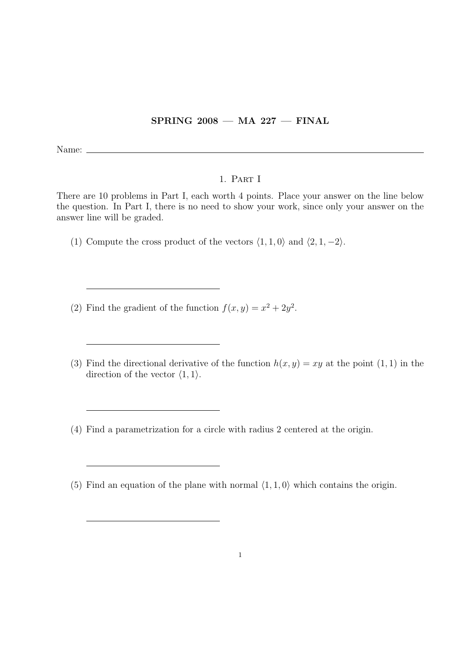## $SPRING 2008 - MA 227 - FINAL$

Name:

## 1. Part I

There are 10 problems in Part I, each worth 4 points. Place your answer on the line below the question. In Part I, there is no need to show your work, since only your answer on the answer line will be graded.

- (1) Compute the cross product of the vectors  $\langle 1, 1, 0 \rangle$  and  $\langle 2, 1, -2 \rangle$ .
- (2) Find the gradient of the function  $f(x, y) = x^2 + 2y^2$ .
- (3) Find the directional derivative of the function  $h(x, y) = xy$  at the point (1, 1) in the direction of the vector  $\langle 1, 1 \rangle$ .
- (4) Find a parametrization for a circle with radius 2 centered at the origin.
- (5) Find an equation of the plane with normal  $\langle 1, 1, 0 \rangle$  which contains the origin.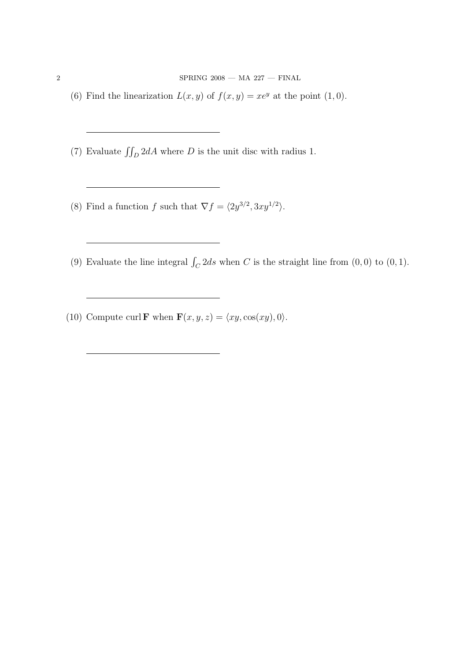${\rm SPRING\ 2008\,} -{\rm MA\ 227\,} -{\rm FINAL}$ 

- (6) Find the linearization  $L(x, y)$  of  $f(x, y) = xe^y$  at the point  $(1, 0)$ .
- (7) Evaluate  $\iint_D 2dA$  where D is the unit disc with radius 1.
- (8) Find a function f such that  $\nabla f = \langle 2y^{3/2}, 3xy^{1/2} \rangle$ .
- (9) Evaluate the line integral  $\int_C 2ds$  when C is the straight line from  $(0, 0)$  to  $(0, 1)$ .
- (10) Compute curl **F** when  $\mathbf{F}(x, y, z) = \langle xy, \cos(xy), 0 \rangle$ .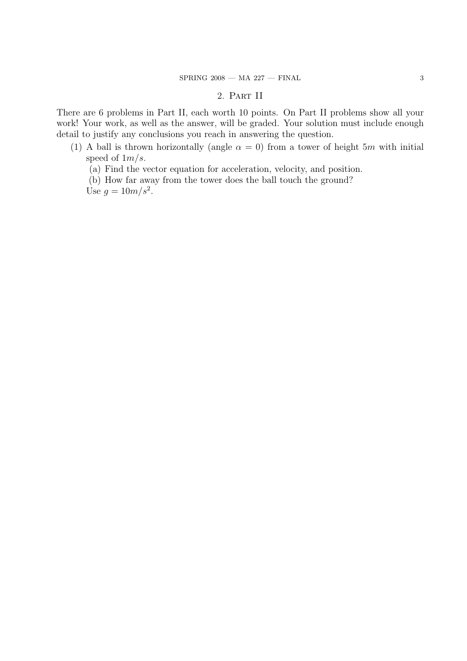## 2. Part II

There are 6 problems in Part II, each worth 10 points. On Part II problems show all your work! Your work, as well as the answer, will be graded. Your solution must include enough detail to justify any conclusions you reach in answering the question.

- (1) A ball is thrown horizontally (angle  $\alpha = 0$ ) from a tower of height 5m with initial speed of  $1m/s$ .
	- (a) Find the vector equation for acceleration, velocity, and position.
	- (b) How far away from the tower does the ball touch the ground?

Use  $g = 10m/s^2$ .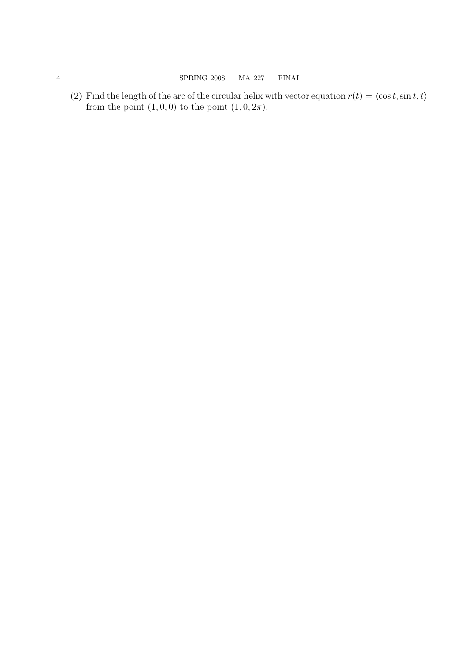(2) Find the length of the arc of the circular helix with vector equation  $r(t) = \langle \cos t, \sin t, t \rangle$ from the point  $(1, 0, 0)$  to the point  $(1, 0, 2\pi)$ .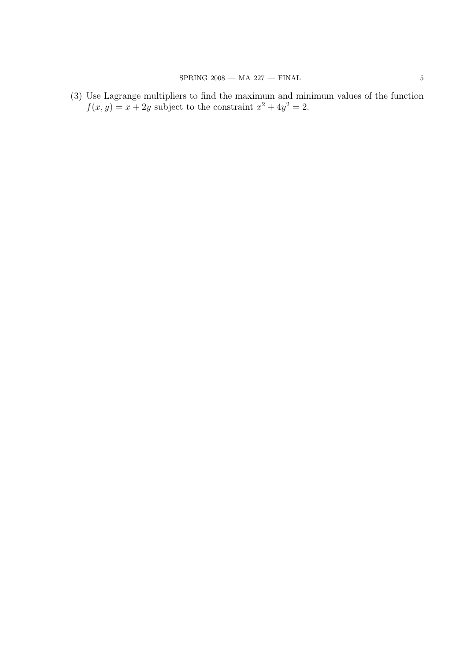(3) Use Lagrange multipliers to find the maximum and minimum values of the function  $f(x,y) = x + 2y$  subject to the constraint  $x^2 + 4y^2 = 2$ .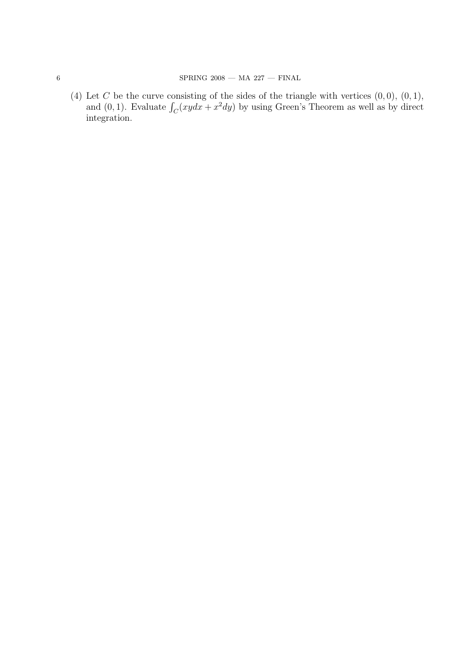(4) Let C be the curve consisting of the sides of the triangle with vertices  $(0, 0)$ ,  $(0, 1)$ , Let C be the curve consisting of the sides of the triangle with vertices  $(0, 0)$ ,  $(0, 1)$ , and  $(0, 1)$ . Evaluate  $\int_C (xydx + x^2dy)$  by using Green's Theorem as well as by direct integration.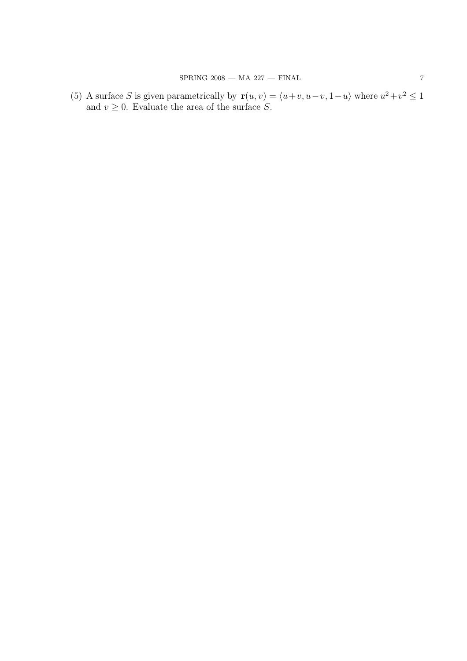(5) A surface S is given parametrically by  $\mathbf{r}(u, v) = \langle u+v, u-v, 1-u \rangle$  where  $u^2+v^2 \leq 1$ and  $v \geq 0$ . Evaluate the area of the surface S.